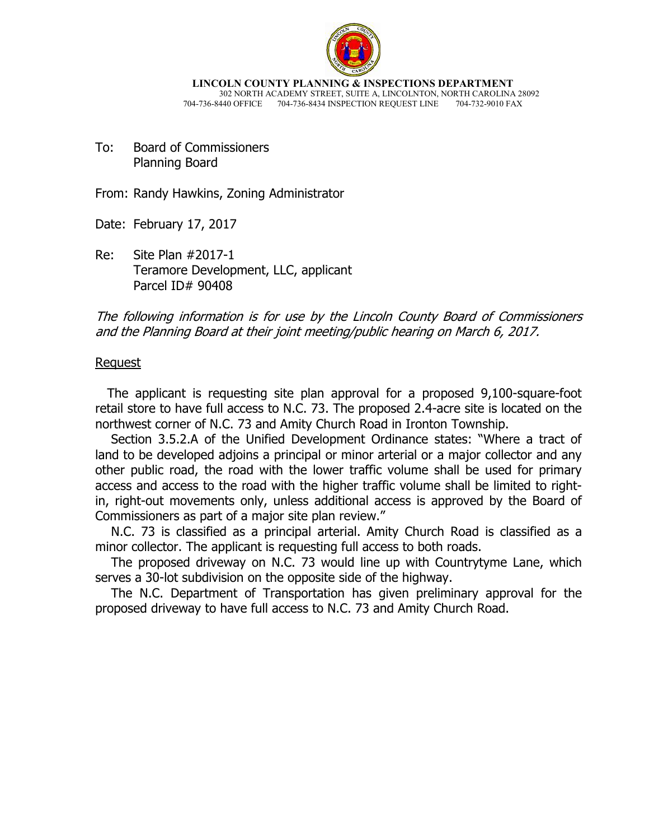

**LINCOLN COUNTY PLANNING & INSPECTIONS DEPARTMENT** 302 NORTH ACADEMY STREET, SUITE A, LINCOLNTON, NORTH CAROLINA 28092<br>440 OFFICE 704-736-8434 INSPECTION REQUEST LINE 704-732-9010 FAX 704-736-8440 OFFICE 704-736-8434 INSPECTION REQUEST LINE

To: Board of Commissioners Planning Board

From: Randy Hawkins, Zoning Administrator

Date: February 17, 2017

Re: Site Plan #2017-1 Teramore Development, LLC, applicant Parcel ID# 90408

The following information is for use by the Lincoln County Board of Commissioners and the Planning Board at their joint meeting/public hearing on March 6, 2017.

#### Request

 The applicant is requesting site plan approval for a proposed 9,100-square-foot retail store to have full access to N.C. 73. The proposed 2.4-acre site is located on the northwest corner of N.C. 73 and Amity Church Road in Ironton Township.

 Section 3.5.2.A of the Unified Development Ordinance states: "Where a tract of land to be developed adjoins a principal or minor arterial or a major collector and any other public road, the road with the lower traffic volume shall be used for primary access and access to the road with the higher traffic volume shall be limited to rightin, right-out movements only, unless additional access is approved by the Board of Commissioners as part of a major site plan review."

 N.C. 73 is classified as a principal arterial. Amity Church Road is classified as a minor collector. The applicant is requesting full access to both roads.

 The proposed driveway on N.C. 73 would line up with Countrytyme Lane, which serves a 30-lot subdivision on the opposite side of the highway.

 The N.C. Department of Transportation has given preliminary approval for the proposed driveway to have full access to N.C. 73 and Amity Church Road.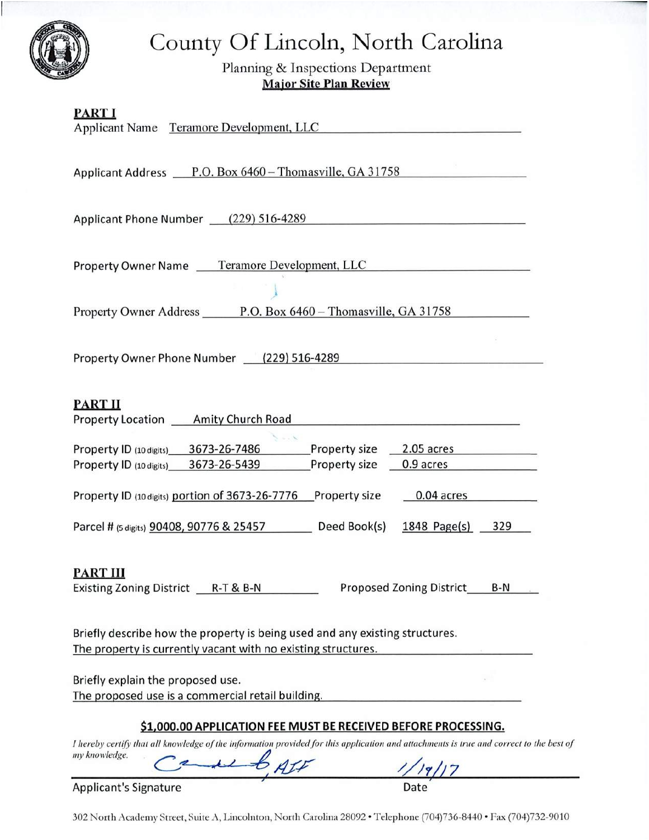# County Of Lincoln, North Carolina

Planning & Inspections Department **Major Site Plan Review** 

| <b>PART I</b><br>Applicant Name Teramore Development, LLC                                                                                                                          |
|------------------------------------------------------------------------------------------------------------------------------------------------------------------------------------|
| Applicant Address P.O. Box 6460 – Thomasville, GA 31758                                                                                                                            |
| Applicant Phone Number (229) 516-4289                                                                                                                                              |
| Property Owner Name Teramore Development, LLC                                                                                                                                      |
| Property Owner Address P.O. Box 6460 – Thomasville, GA 31758                                                                                                                       |
| Property Owner Phone Number (229) 516-4289                                                                                                                                         |
| <b>PART II</b><br>Property Location ____ Amity Church Road                                                                                                                         |
| 3673-26-7486<br>Property size<br>2.05 acres<br>Property ID (10 digits)<br>3673-26-5439<br>Property size<br>Property ID (10 digits)<br>0.9 acres                                    |
| 0.04 acres<br>Property ID (10 digits) portion of 3673-26-7776<br>Property size                                                                                                     |
| Parcel # (5 digits) 90408, 90776 & 25457<br>Deed Book(s)<br>1848 Page $(s)$<br>329                                                                                                 |
| <u>PART III</u><br>Existing Zoning District R-T & B-N<br>Proposed Zoning District<br>B-N                                                                                           |
| Briefly describe how the property is being used and any existing structures.<br>The property is currently vacant with no existing structures.                                      |
| Briefly explain the proposed use.<br>The proposed use is a commercial retail building.                                                                                             |
| \$1,000.00 APPLICATION FEE MUST BE RECEIVED BEFORE PROCESSING.                                                                                                                     |
| I hereby certify that all knowledge of the information provided for this application and attachments is true and correct to the best of<br>my knowledge.<br>superby off<br>1/19/17 |

**Applicant's Signature** 

302 North Academy Street, Suite A, Lincolnton, North Carolina 28092 · Telephone (704)736-8440 · Fax (704)732-9010

Date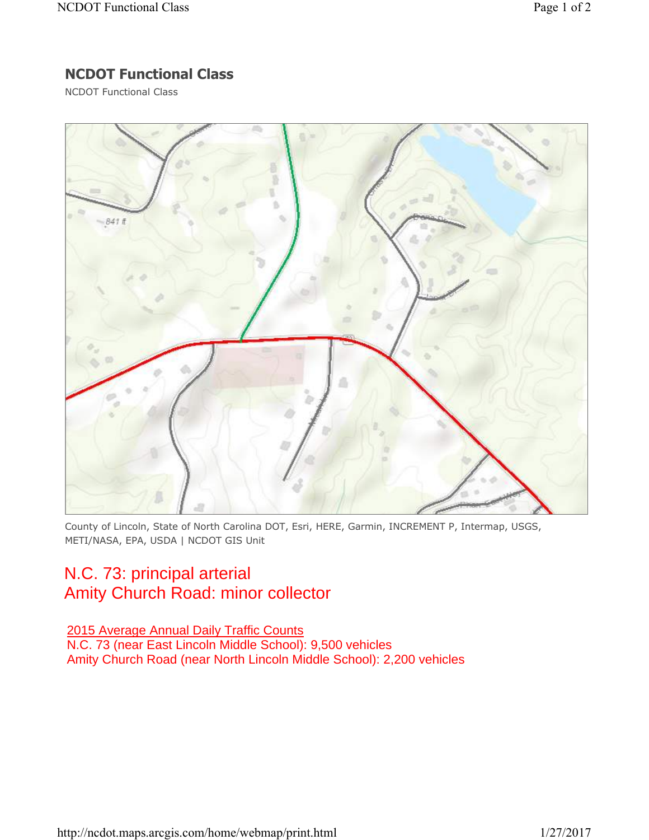## **NCDOT Functional Class**

NCDOT Functional Class



County of Lincoln, State of North Carolina DOT, Esri, HERE, Garmin, INCREMENT P, Intermap, USGS, METI/NASA, EPA, USDA | NCDOT GIS Unit

## N.C. 73: principal arterial Amity Church Road: minor collector

### 2015 Average Annual Daily Traffic Counts

N.C. 73 (near East Lincoln Middle School): 9,500 vehicles Amity Church Road (near North Lincoln Middle School): 2,200 vehicles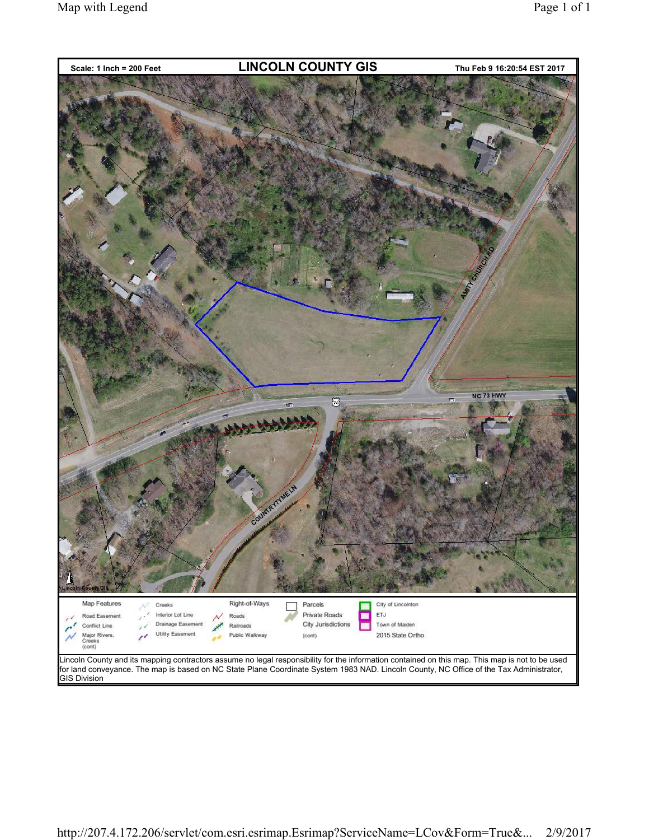